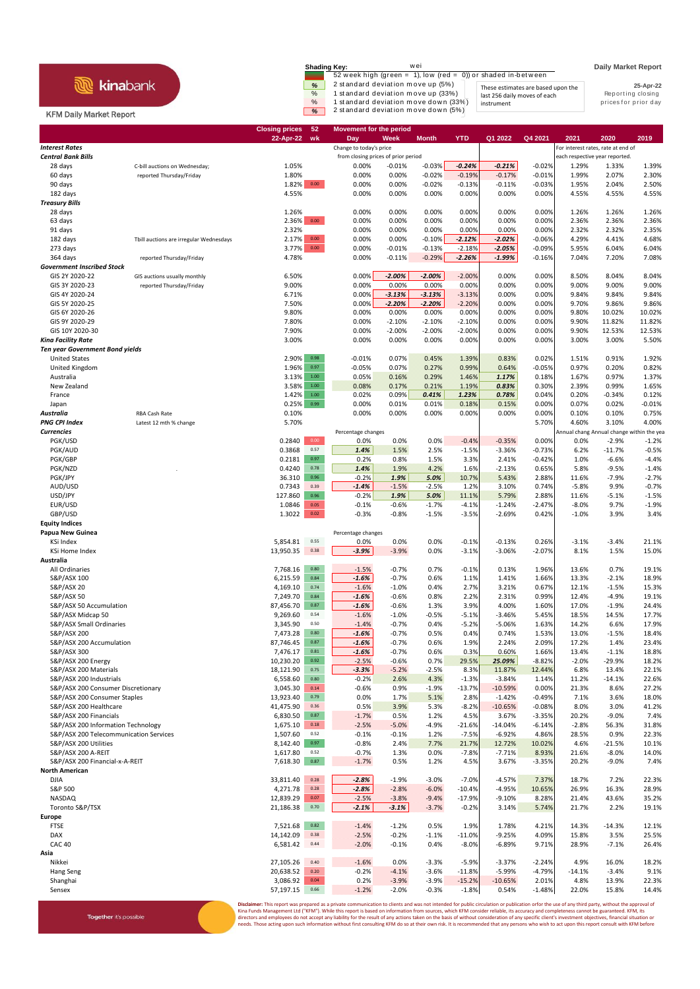|                                | wei<br>Shading Key:                                                                 | <b>Daily Market Report</b> |
|--------------------------------|-------------------------------------------------------------------------------------|----------------------------|
| <b>kina</b> bank               | 52 week high (green = 1), low (red = 0)) or shaded in-between                       |                            |
|                                | 2 standard deviation move up (5%)<br>%<br>These estimates are based upon the        | 25-Apr-22                  |
|                                | 1 standard deviation move up (33%)<br>$\frac{9}{6}$<br>last 256 daily moves of each | Reporting closing          |
|                                | 1 standard deviation move down (33%)<br>$\%$<br>instrument                          | prices for prior day       |
| <b>KFM Daily Market Report</b> | 2 standard deviation move down (5%)<br>W.                                           |                            |

## **Closing prices 52 Movement for the period 22-Apr-22 wk Day Week Month YTD Q1 2022 Q4 2021 2021 2020 2019 Interest Rates** For interest rates, rate at end of the change to today's price **For interest rates**, rate at end of **Central Bank Bills form closing prices of prior period example the closing prices of prior period** each respective year reported 28 days C-bill auctions on Wednesday; 1.05% 0.00% -0.01% -0.03% *-0.24% -0.21%* -0.02% 1.29% 1.33% 1.39% 60 days reported Thursday/Friday 1.80% 0.00% 0.00% -0.02% -0.19% -0.17% -0.01% 1.99% 2.07% 2.30% 90 days 1.82% 0.00 0.00% 0.00% -0.02% -0.13% -0.11% -0.03% 1.95% 2.04% 2.50% 182 days 4.55% 0.00% 0.00% 0.00% 0.00% 0.00% 0.00% 4.55% 4.55% 4.55% *Treasury Bills* 28 days 1.26% 0.00% 0.00% 0.00% 0.00% 0.00% 0.00% 1.26% 1.26% 1.26% 63 days 2.36% 0.00 0.00% 0.00% 0.00% 0.00% 0.00% 0.00% 2.36% 2.36% 2.36% 91 days 2.32% 0.00% 0.00% 0.00% 0.00% 0.00% 0.00% 2.32% 2.32% 2.35% 182 days Tbill auctions are irregular Wednesdays 2.17% 0.00 0.00% 0.00% -0.10% *-2.12% -2.02%* -0.06% 4.29% 4.41% 4.68% 273 days 3.77% 0.00 0.00% -0.01% -0.13% -2.18% *-2.05%* -0.09% 5.95% 6.04% 6.04% 364 days reported Thursday/Friday 4.78% 0.00% -0.11% -0.29% *-2.26% -1.99%* -0.16% 7.04% 7.20% 7.08% *Government Inscribed Stock* GIS 2Y 2020-22 GIS auctions usually monthly 6.50% 0.00% *-2.00% -2.00%* -2.00% 0.00% 0.00% 8.50% 8.04% 8.04% GIS 3Y 2020-23 reported Thursday/Friday 9.00% 0.00% 0.00% 0.00% 0.00% 0.00% 0.00% 9.00% 9.00% 9.00% GIS 4Y 2020-24 6.71% 0.00% *-3.13% -3.13%* -3.13% 0.00% 0.00% 9.84% 9.84% 9.84% GIS 5Y 2020-25 7.50% 0.00% *-2.20% -2.20%* -2.20% 0.00% 0.00% 9.70% 9.86% 9.86% GIS 6Y 2020-26 9.80% 0.00% 0.00% 0.00% 0.00% 0.00% 0.00% 9.80% 10.02% 10.02% GIS 9Y 2020-29 7.80% 0.00% -2.10% -2.10% -2.10% 0.00% 0.00% 9.90% 11.82% 11.82% GIS 10Y 2020-30 7.90% 0.00% -2.00% -2.00% -2.00% 0.00% 0.00% 9.90% 12.53% 12.53% *Kina Facility Rate* 3.00% 0.00% 0.00% 0.00% 0.00% 0.00% 0.00% 3.00% 3.00% 5.50% *Ten year Government Bond yields* United States 2.90% 0.98 -0.01% 0.07% 0.45% 1.39% 0.83% 0.02% 1.51% 0.91% 1.92% United Kingdom 1.96% 0.97 -0.05% 0.07% 0.27% 0.99% 0.64% -0.05% 0.97% 0.20% 0.82% Australia 3.13% 1.00 0.05% 0.16% 0.29% 1.46% *1.17%* 0.18% 1.67% 0.97% 1.37% New Zealand 3.58% 1.00 0.08% 0.17% 0.21% 1.19% *0.83%* 0.30% 2.39% 0.99% 1.65% France 1.42% 1.00 0.02% 0.09% *0.41% 1.23% 0.78%* 0.04% 0.20% -0.34% 0.12% Japan 0.25% 0.99 0.00% 0.01% 0.01% 0.18% 0.15% 0.00% 0.07% 0.02% -0.01% *Australia* RBA Cash Rate 0.10% 0.00% 0.00% 0.00% 0.00% 0.00% 0.00% 0.10% 0.10% 0.75% **PNG CPI Index** Latest 12 mth % change 5.70% 5.70% 5.70% 5.70% 5.70% 5.70% 5.70% 5.70% 5.10% 5.70% 5.10% 4.00% 5.10% **Currencies Percentage changes** Percentage changes **Annual change Annual change within the year** Annual change within the year PGK/USD 0.2840 0.00 0.0% 0.0% 0.0% -0.4% -0.35% 0.00% 0.0% -2.9% -1.2% PGK/AUD 0.3868 0.57 *1.4%* 1.5% 2.5% -1.5% -3.36% -0.73% 6.2% -11.7% -0.5% PGK/GBP 0.2181 0.97 0.2% 0.8% 1.5% 3.3% 2.41% -0.42% 1.0% -6.6% -4.4% PGK/NZD . 0.4240 0.78 *1.4%* 1.9% 4.2% 1.6% -2.13% 0.65% 5.8% -9.5% -1.4% PGK/JPY 36.310 0.96 -0.2% *1.9% 5.0%* 10.7% 5.43% 2.88% 11.6% -7.9% -2.7% AUD/USD 0.7343 0.39 *-1.4%* -1.5% -2.5% 1.2% 3.10% 0.74% -5.8% 9.9% -0.7% USD/JPY 127.860 0.96 -0.2% *1.9% 5.0%* 11.1% 5.79% 2.88% 11.6% -5.1% -1.5% EUR/USD 1.0846 0.05 -0.1% -0.6% -1.7% -4.1% -1.24% -2.47% -8.0% 9.7% -1.9% GBP/USD 1.3022 0.02 -0.3% -0.8% -1.5% -3.5% -2.69% 0.42% -1.0% 3.9% 3.4% **Equity Indices Papua New Guinea Papua New Guinea Percentage changes Percentage changes Percentage changes** KSi Index 5,854.81 0.55 0.0% 0.0% 0.0% -0.1% -0.13% 0.26% -3.1% -3.4% 21.1% KSi Home Index 13,950.35 0.38 *-3.9%* -3.9% 0.0% -3.1% -3.06% -2.07% 8.1% 1.5% 15.0% **Australia** All Ordinaries 7,768.16 0.80 -1.5% -0.7% 0.7% -0.1% 0.13% 1.96% 13.6% 0.7% 19.1% S&P/ASX 100 6,215.59 0.84 *-1.6%* -0.7% 0.6% 1.1% 1.41% 1.66% 13.3% -2.1% 18.9% S&P/ASX 20 4,169.10 0.74 -1.6% -1.0% 0.4% 2.7% 3.21% 0.67% 12.1% -1.5% 15.3% S&P/ASX 50 7,249.70 0.84 *-1.6%* -0.6% 0.8% 2.2% 2.31% 0.99% 12.4% -4.9% 19.1% S&P/ASX 50 Accumulation **87,456.70** 87,456.70 0.87 **-1.6%** -0.6% 1.3% 3.9% 4.00% 1.60% 17.0% -1.9% 24.4% S&P/ASX Midcap 50 9,269.60 0.54 -1.6% -1.0% -0.5% -5.1% -3.46% 5.45% 18.5% 14.5% 17.7% S&P/ASX Small Ordinaries 3,345.90 0.50 -1.4% -0.7% 0.4% -5.2% -5.06% 1.63% 14.2% 6.6% 17.9% S&P/ASX 200 7,473.28 0.80 *-1.6%* -0.7% 0.5% 0.4% 0.74% 1.53% 13.0% -1.5% 18.4% S&P/ASX 200 Accumulation 87,746.45 0.87 **-1.6% -0.7% 0.67% 1.9% 2.24% 2.09% 17.2% 1.4% 23.4%**<br>87,476.17 0.81 **-1.6%** -0.7% 0.6% 0.3% 0.60% 1.66% 13.4% -1.1% 18.8% S&P/ASX 300 7,476.17 0.81 *-1.6%* -0.7% 0.6% 0.3% 0.60% 1.66% 13.4% -1.1% 18.8% S&P/ASX 200 Energy 10,230.20 0.92 -2.5% -0.6% 0.7% 29.5% *25.09%* -8.82% -2.0% -29.9% 18.2% S&P/ASX 200 Materials 18,121.90 0.75 *-3.3%* -5.2% -2.5% 8.3% 11.87% 12.44% 6.8% 13.4% 22.1% S&P/ASX 200 Industrials 6,558.60 0.80 -0.2% 2.6% 4.3% -1.3% -3.84% 1.14% 11.2% -14.1% 22.6% S&P/ASX 200 Consumer Discretionary 3,045.30 0.14 -0.6% 0.9% -1.9% -13.7% -10.59% 0.00% 21.3% 8.6% 27.2% S&P/ASX 200 Consumer Staples S&P/ASX 200 Healthcare 41,475.90 0.36 0.5% 3.9% 5.3% -8.2% -10.65% -0.08% 8.0% 3.0% 41.2% S&P/ASX 200 Financials 6,830.50 0.87 -1.7% 0.5% 1.2% 4.5% 3.67% -3.35% 20.2% -9.0% 7.4% S&P/ASX 200 Information Technology 1,675.10 0.18 1,675.10 0.18 -2.5% -3.0% -4.9% -2.1.6% -14.04% -6.14% -2.8% 56.3% 31.8%<br>S&P/ASX 200 Telecommunication Services 1,50% -15.07.60 0.52 -0.1% -0.1% -0.1% -7.5% -6.92% 4.86% 28. S&P/ASX 200 Telecommunication Services 1,507.60 0.52<br>S&P/ASX 200 Utilities  $\text{SAP/ASK 200 }$  Utilities  $\text{S,142.40}$   $\text{O.97}$   $\text{O.8\%}$   $\text{O.4\%}$   $\text{O.7\%}$   $\text{O.2\%}$   $\text{O.2\%}$   $\text{O.4\%}$   $\text{O.2\%}$   $\text{O.4\%}$ S&P/ASX 200 A-REIT 1,617.80 0.52 -0.7% 1.3% 0.0% -7.8% -7.71% 8.93% 21.6% -8.0% 14.0% S&P/ASX 200 Financial-x-A-REIT 7,618.30 0.87 -1.7% 0.5% 1.2% 4.5% 3.67% -3.35% 20.2% -9.0% 7.4% **North American** DJIA 33,811.40 0.28 *-2.8%* -1.9% -3.0% -7.0% -4.57% 7.37% 18.7% 7.2% 22.3% S&P 500 4,271.78 0.28 *-2.8%* -2.8% -6.0% -10.4% -4.95% 10.65% 26.9% 16.3% 28.9% 12,839.29 0.07 -2.5% -3.8% -9.4% -17.9% -9.10% 8.28% 21.4% 43.6% 35.2% -9.4% -9.10% -9.10% محمد 20.14% 2.5% 35.2% Toronto S&P/TSX 21,186.38 0.70 *-2.1% -3.1%* -3.7% -0.2% 3.14% 5.74% 21.7% 2.2% 19.1% **Europe** FTSE 7,521.68 0.82 -1.4% -1.2% 0.5% 1.9% 1.78% 4.21% 14.3% -14.3% 12.1% DAX 14,142.09 0.38 -2.5% -0.2% -1.1% -11.0% -9.25% 4.09% 15.8% 3.5% 25.5% CAC 40 6,581.42 0.44 -2.0% -0.1% 0.4% -8.0% -6.89% 9.71% 28.9% -7.1% 26.4% **Asia** Nikkei 27,105.26 0.40 -1.6% 0.0% -3.3% -5.9% -3.37% -2.24% 4.9% 16.0% 18.2% Hang Seng 20,638.52 0.20 -0.2% -4.1% -3.6% -11.8% -5.99% -4.79% -14.1% -3.4% 9.1% Shanghai 3,086.92 0.04 0.2% -3.9% -3.9% -15.2% -10.65% 2.01% 4.8% 13.9% 22.3% Sensex 57,197.15 0.66 -1.2% -2.0% -0.3% -1.8% 0.54% -1.48% 22.0% 15.8% 14.4%

Together it's possible

**Pr:** This report was prepared as a private communication to clients and was not intended for public circulation or publication or for the use of any third party, without the approval of Kina Funds Management Ltd ("KFM"). While this report is based on information from sources, which KFM consider reliable, its accuracy and completeness cannot be guaranteed. KFM, its<br>directors and employees do not accept any eeds. Those acting upon such information without first consulting KFM do so at their own risk. It is recommended that any persons who wish to act upon this report consult with KFM before